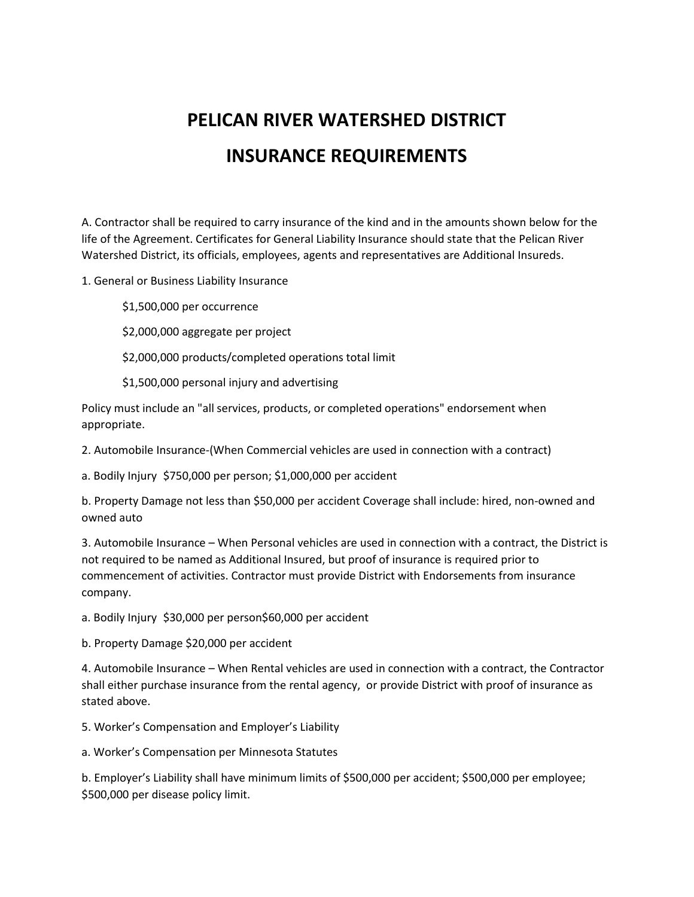## **PELICAN RIVER WATERSHED DISTRICT INSURANCE REQUIREMENTS**

A. Contractor shall be required to carry insurance of the kind and in the amounts shown below for the life of the Agreement. Certificates for General Liability Insurance should state that the Pelican River Watershed District, its officials, employees, agents and representatives are Additional Insureds.

1. General or Business Liability Insurance

\$1,500,000 per occurrence

\$2,000,000 aggregate per project

\$2,000,000 products/completed operations total limit

\$1,500,000 personal injury and advertising

Policy must include an "all services, products, or completed operations" endorsement when appropriate.

2. Automobile Insurance-(When Commercial vehicles are used in connection with a contract)

a. Bodily Injury \$750,000 per person; \$1,000,000 per accident

b. Property Damage not less than \$50,000 per accident Coverage shall include: hired, non-owned and owned auto

3. Automobile Insurance – When Personal vehicles are used in connection with a contract, the District is not required to be named as Additional Insured, but proof of insurance is required prior to commencement of activities. Contractor must provide District with Endorsements from insurance company.

a. Bodily Injury \$30,000 per person\$60,000 per accident

b. Property Damage \$20,000 per accident

4. Automobile Insurance – When Rental vehicles are used in connection with a contract, the Contractor shall either purchase insurance from the rental agency, or provide District with proof of insurance as stated above.

5. Worker's Compensation and Employer's Liability

a. Worker's Compensation per Minnesota Statutes

b. Employer's Liability shall have minimum limits of \$500,000 per accident; \$500,000 per employee; \$500,000 per disease policy limit.